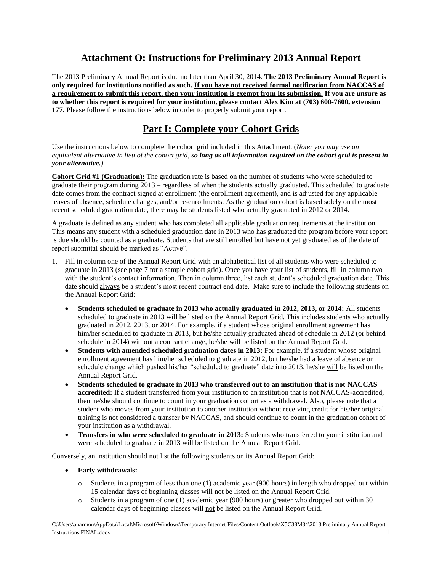## **Attachment O: Instructions for Preliminary 2013 Annual Report**

The 2013 Preliminary Annual Report is due no later than April 30, 2014. **The 2013 Preliminary Annual Report is only required for institutions notified as such. If you have not received formal notification from NACCAS of a requirement to submit this report, then your institution is exempt from its submission. If you are unsure as to whether this report is required for your institution, please contact Alex Kim at (703) 600-7600, extension 177.** Please follow the instructions below in order to properly submit your report.

# **Part I: Complete your Cohort Grids**

Use the instructions below to complete the cohort grid included in this Attachment. (*Note: you may use an equivalent alternative in lieu of the cohort grid, so long as all information required on the cohort grid is present in your alternative.)*

**Cohort Grid #1 (Graduation):** The graduation rate is based on the number of students who were scheduled to graduate their program during 2013 – regardless of when the students actually graduated. This scheduled to graduate date comes from the contract signed at enrollment (the enrollment agreement), and is adjusted for any applicable leaves of absence, schedule changes, and/or re-enrollments. As the graduation cohort is based solely on the most recent scheduled graduation date, there may be students listed who actually graduated in 2012 or 2014.

A graduate is defined as any student who has completed all applicable graduation requirements at the institution. This means any student with a scheduled graduation date in 2013 who has graduated the program before your report is due should be counted as a graduate. Students that are still enrolled but have not yet graduated as of the date of report submittal should be marked as "Active".

- 1. Fill in column one of the Annual Report Grid with an alphabetical list of all students who were scheduled to graduate in 2013 (see page 7 for a sample cohort grid). Once you have your list of students, fill in column two with the student's contact information. Then in column three, list each student's scheduled graduation date. This date should always be a student's most recent contract end date. Make sure to include the following students on the Annual Report Grid:
	- **Students scheduled to graduate in 2013 who actually graduated in 2012, 2013, or 2014:** All students scheduled to graduate in 2013 will be listed on the Annual Report Grid. This includes students who actually graduated in 2012, 2013, or 2014. For example, if a student whose original enrollment agreement has him/her scheduled to graduate in 2013, but he/she actually graduated ahead of schedule in 2012 (or behind schedule in 2014) without a contract change, he/she will be listed on the Annual Report Grid.
	- **Students with amended scheduled graduation dates in 2013:** For example, if a student whose original enrollment agreement has him/her scheduled to graduate in 2012, but he/she had a leave of absence or schedule change which pushed his/her "scheduled to graduate" date into 2013, he/she will be listed on the Annual Report Grid.
	- **Students scheduled to graduate in 2013 who transferred out to an institution that is not NACCAS accredited:** If a student transferred from your institution to an institution that is not NACCAS-accredited, then he/she should continue to count in your graduation cohort as a withdrawal. Also, please note that a student who moves from your institution to another institution without receiving credit for his/her original training is not considered a transfer by NACCAS, and should continue to count in the graduation cohort of your institution as a withdrawal.
	- **Transfers in who were scheduled to graduate in 2013:** Students who transferred to your institution and were scheduled to graduate in 2013 will be listed on the Annual Report Grid.

Conversely, an institution should not list the following students on its Annual Report Grid:

- **Early withdrawals:** 
	- o Students in a program of less than one (1) academic year (900 hours) in length who dropped out within 15 calendar days of beginning classes will not be listed on the Annual Report Grid.
	- o Students in a program of one (1) academic year (900 hours) or greater who dropped out within 30 calendar days of beginning classes will not be listed on the Annual Report Grid.

C:\Users\aharmon\AppData\Local\Microsoft\Windows\Temporary Internet Files\Content.Outlook\X5C38M34\2013 Preliminary Annual Report Instructions FINAL.docx 1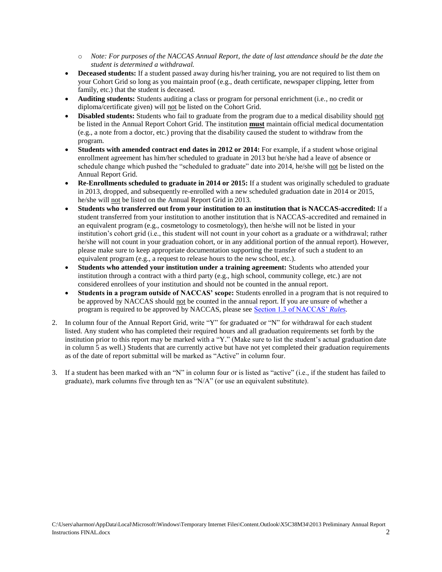- o *Note: For purposes of the NACCAS Annual Report, the date of last attendance should be the date the student is determined a withdrawal.*
- Deceased students: If a student passed away during his/her training, you are not required to list them on your Cohort Grid so long as you maintain proof (e.g., death certificate, newspaper clipping, letter from family, etc.) that the student is deceased.
- **Auditing students:** Students auditing a class or program for personal enrichment (i.e., no credit or diploma/certificate given) will not be listed on the Cohort Grid.
- **Disabled students:** Students who fail to graduate from the program due to a medical disability should not be listed in the Annual Report Cohort Grid. The institution **must** maintain official medical documentation (e.g., a note from a doctor, etc.) proving that the disability caused the student to withdraw from the program.
- **Students with amended contract end dates in 2012 or 2014:** For example, if a student whose original enrollment agreement has him/her scheduled to graduate in 2013 but he/she had a leave of absence or schedule change which pushed the "scheduled to graduate" date into 2014, he/she will not be listed on the Annual Report Grid.
- **Re-Enrollments scheduled to graduate in 2014 or 2015:** If a student was originally scheduled to graduate in 2013, dropped, and subsequently re-enrolled with a new scheduled graduation date in 2014 or 2015, he/she will not be listed on the Annual Report Grid in 2013.
- **Students who transferred out from your institution to an institution that is NACCAS-accredited:** If a student transferred from your institution to another institution that is NACCAS-accredited and remained in an equivalent program (e.g., cosmetology to cosmetology), then he/she will not be listed in your institution's cohort grid (i.e., this student will not count in your cohort as a graduate or a withdrawal; rather he/she will not count in your graduation cohort, or in any additional portion of the annual report). However, please make sure to keep appropriate documentation supporting the transfer of such a student to an equivalent program (e.g., a request to release hours to the new school, etc.).
- **Students who attended your institution under a training agreement:** Students who attended your institution through a contract with a third party (e.g., high school, community college, etc.) are not considered enrollees of your institution and should not be counted in the annual report.
- **Students in a program outside of NACCAS' scope:** Students enrolled in a program that is not required to be approved by NACCAS should not be counted in the annual report. If you are unsure of whether a program is required to be approved by NACCAS, please see [Section 1.3 of NACCAS'](http://elibrary.naccas.org/InfoRouter/docs/Public/NACCAS%20Handbook/2013%20Update/3.%20Rules%20of%20Practice%20and%20Procedures/Rules%20Section%201%20Elig.%20for%20Accredit.,%20the%20Accredit.%20Process,%20Instruc.%20for%20Submitting%20Documents%20to%20NACCAS.pdf) *Rules.*
- 2. In column four of the Annual Report Grid, write "Y" for graduated or "N" for withdrawal for each student listed. Any student who has completed their required hours and all graduation requirements set forth by the institution prior to this report may be marked with a "Y." (Make sure to list the student's actual graduation date in column 5 as well.) Students that are currently active but have not yet completed their graduation requirements as of the date of report submittal will be marked as "Active" in column four.
- 3. If a student has been marked with an "N" in column four or is listed as "active" (i.e., if the student has failed to graduate), mark columns five through ten as "N/A" (or use an equivalent substitute).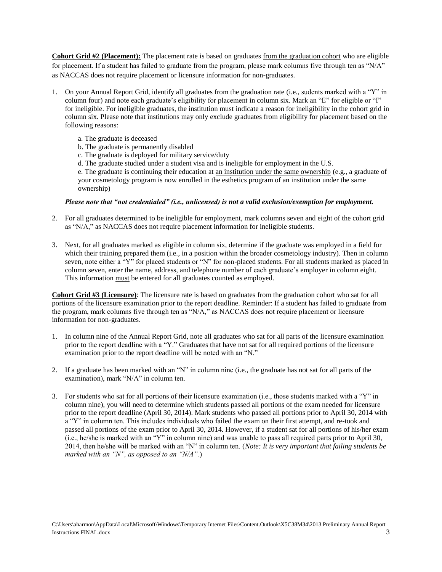**Cohort Grid #2 (Placement):** The placement rate is based on graduates from the graduation cohort who are eligible for placement. If a student has failed to graduate from the program, please mark columns five through ten as "N/A" as NACCAS does not require placement or licensure information for non-graduates.

- 1. On your Annual Report Grid, identify all graduates from the graduation rate (i.e., sudents marked with a "Y" in column four) and note each graduate's eligibility for placement in column six. Mark an "E" for eligible or "I" for ineligible. For ineligible graduates, the institution must indicate a reason for ineligibility in the cohort grid in column six. Please note that institutions may only exclude graduates from eligibility for placement based on the following reasons:
	- a. The graduate is deceased
	- b. The graduate is permanently disabled
	- c. The graduate is deployed for military service/duty
	- d. The graduate studied under a student visa and is ineligible for employment in the U.S.

e. The graduate is continuing their education at an institution under the same ownership (e.g., a graduate of your cosmetology program is now enrolled in the esthetics program of an institution under the same ownership)

#### *Please note that "not credentialed" (i.e., unlicensed) is not a valid exclusion/exemption for employment.*

- 2. For all graduates determined to be ineligible for employment, mark columns seven and eight of the cohort grid as "N/A," as NACCAS does not require placement information for ineligible students.
- 3. Next, for all graduates marked as eligible in column six, determine if the graduate was employed in a field for which their training prepared them (i.e., in a position within the broader cosmetology industry). Then in column seven, note either a "Y" for placed students or "N" for non-placed students. For all students marked as placed in column seven, enter the name, address, and telephone number of each graduate's employer in column eight. This information must be entered for all graduates counted as employed.

**Cohort Grid #3 (Licensure)**: The licensure rate is based on graduates from the graduation cohort who sat for all portions of the licensure examination prior to the report deadline. Reminder: If a student has failed to graduate from the program, mark columns five through ten as "N/A," as NACCAS does not require placement or licensure information for non-graduates.

- 1. In column nine of the Annual Report Grid, note all graduates who sat for all parts of the licensure examination prior to the report deadline with a "Y." Graduates that have not sat for all required portions of the licensure examination prior to the report deadline will be noted with an "N."
- 2. If a graduate has been marked with an "N" in column nine (i.e., the graduate has not sat for all parts of the examination), mark "N/A" in column ten.
- 3. For students who sat for all portions of their licensure examination (i.e., those students marked with a "Y" in column nine), you will need to determine which students passed all portions of the exam needed for licensure prior to the report deadline (April 30, 2014). Mark students who passed all portions prior to April 30, 2014 with a "Y" in column ten. This includes individuals who failed the exam on their first attempt, and re-took and passed all portions of the exam prior to April 30, 2014. However, if a student sat for all portions of his/her exam (i.e., he/she is marked with an "Y" in column nine) and was unable to pass all required parts prior to April 30, 2014, then he/she will be marked with an "N" in column ten. (*Note: It is very important that failing students be marked with an "N", as opposed to an "N/A".*)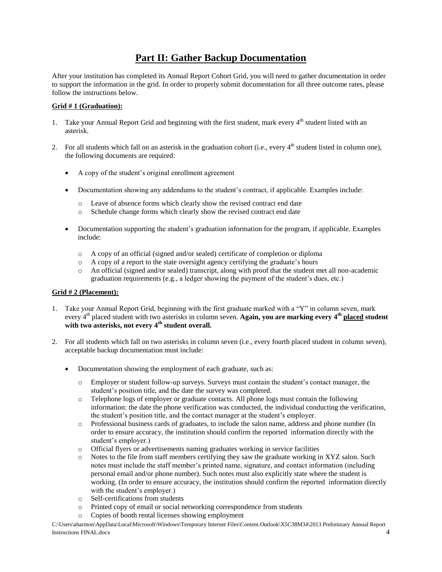## **Part II: Gather Backup Documentation**

After your institution has completed its Annual Report Cohort Grid, you will need to gather documentation in order to support the information in the grid. In order to properly submit documentation for all three outcome rates, please follow the instructions below.

### **Grid # 1 (Graduation):**

- 1. Take your Annual Report Grid and beginning with the first student, mark every 4<sup>th</sup> student listed with an asterisk.
- 2. For all students which fall on an asterisk in the graduation cohort (i.e., every  $4<sup>th</sup>$  student listed in column one), the following documents are required:
	- A copy of the student's original enrollment agreement
	- Documentation showing any addendums to the student's contract, if applicable. Examples include:
		- o Leave of absence forms which clearly show the revised contract end date
		- o Schedule change forms which clearly show the revised contract end date
	- Documentation supporting the student's graduation information for the program, if applicable. Examples include:
		- o A copy of an official (signed and/or sealed) certificate of completion or diploma
		- o A copy of a report to the state oversight agency certifying the graduate's hours
		- o An official (signed and/or sealed) transcript, along with proof that the student met all non-academic graduation requirements (e.g., a ledger showing the payment of the student's dues, etc.)

## **Grid # 2 (Placement):**

- 1. Take your Annual Report Grid, beginning with the first graduate marked with a "Y" in column seven, mark every 4th placed student with two asterisks in column seven. **Again, you are marking every 4th placed student with two asterisks, not every 4th student overall.**
- 2. For all students which fall on two asterisks in column seven (i.e., every fourth placed student in column seven), acceptable backup documentation must include:
	- Documentation showing the employment of each graduate, such as:
		- o Employer or student follow-up surveys. Surveys must contain the student's contact manager, the student's position title, and the date the survey was completed.
		- o Telephone logs of employer or graduate contacts. All phone logs must contain the following information: the date the phone verification was conducted, the individual conducting the verification, the student's position title, and the contact manager at the student's employer.
		- o Professional business cards of graduates, to include the salon name, address and phone number (In order to ensure accuracy, the institution should confirm the reported information directly with the student's employer.)
		- o Official flyers or advertisements naming graduates working in service facilities
		- o Notes to the file from staff members certifying they saw the graduate working in XYZ salon. Such notes must include the staff member's printed name, signature, and contact information (including personal email and/or phone number). Such notes must also explicitly state where the student is working. (In order to ensure accuracy, the institution should confirm the reported information directly with the student's employer.)
		- o Self-certifications from students
		- o Printed copy of email or social networking correspondence from students
		- o Copies of booth rental licenses showing employment

C:\Users\aharmon\AppData\Local\Microsoft\Windows\Temporary Internet Files\Content.Outlook\X5C38M34\2013 Preliminary Annual Report Instructions FINAL.docx 4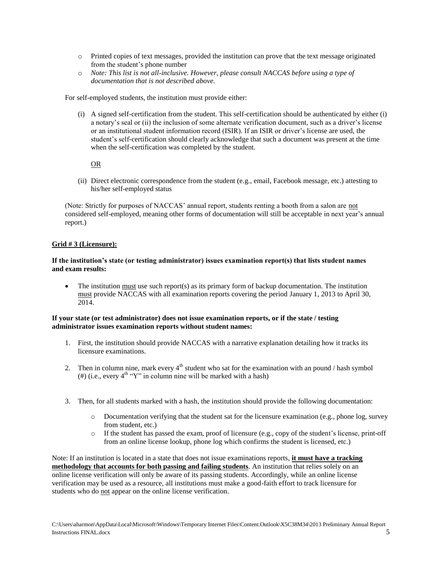- o Printed copies of text messages, provided the institution can prove that the text message originated from the student's phone number
- o *Note: This list is not all-inclusive. However, please consult NACCAS before using a type of documentation that is not described above.*

For self-employed students, the institution must provide either:

(i) A signed self-certification from the student. This self-certification should be authenticated by either (i) a notary's seal or (ii) the inclusion of some alternate verification document, such as a driver's license or an institutional student information record (ISIR). If an ISIR or driver's license are used, the student's self-certification should clearly acknowledge that such a document was present at the time when the self-certification was completed by the student.

### OR

(ii) Direct electronic correspondence from the student (e.g., email, Facebook message, etc.) attesting to his/her self-employed status

(Note: Strictly for purposes of NACCAS' annual report, students renting a booth from a salon are not considered self-employed, meaning other forms of documentation will still be acceptable in next year's annual report.)

#### **Grid # 3 (Licensure):**

#### **If the institution's state (or testing administrator) issues examination report(s) that lists student names and exam results:**

 The institution must use such report(s) as its primary form of backup documentation. The institution must provide NACCAS with all examination reports covering the period January 1, 2013 to April 30, 2014.

## **If your state (or test administrator) does not issue examination reports, or if the state / testing administrator issues examination reports without student names:**

- 1. First, the institution should provide NACCAS with a narrative explanation detailing how it tracks its licensure examinations.
- 2. Then in column nine, mark every  $4<sup>th</sup>$  student who sat for the examination with an pound / hash symbol (#) (i.e., every  $4^{th}$  "Y" in column nine will be marked with a hash)
- 3. Then, for all students marked with a hash, the institution should provide the following documentation:
	- o Documentation verifying that the student sat for the licensure examination (e.g., phone log, survey from student, etc.)
	- $\circ$  If the student has passed the exam, proof of licensure (e.g., copy of the student's license, print-off from an online license lookup, phone log which confirms the student is licensed, etc.)

Note: If an institution is located in a state that does not issue examinations reports, **it must have a tracking methodology that accounts for both passing and failing students**. An institution that relies solely on an online license verification will only be aware of its passing students. Accordingly, while an online license verification may be used as a resource, all institutions must make a good-faith effort to track licensure for students who do not appear on the online license verification.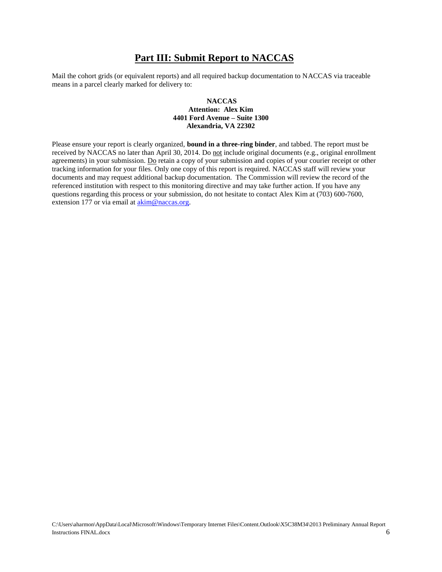## **Part III: Submit Report to NACCAS**

Mail the cohort grids (or equivalent reports) and all required backup documentation to NACCAS via traceable means in a parcel clearly marked for delivery to:

#### **NACCAS Attention: Alex Kim 4401 Ford Avenue – Suite 1300 Alexandria, VA 22302**

Please ensure your report is clearly organized, **bound in a three-ring binder**, and tabbed. The report must be received by NACCAS no later than April 30, 2014. Do not include original documents (e.g., original enrollment agreements) in your submission. Do retain a copy of your submission and copies of your courier receipt or other tracking information for your files. Only one copy of this report is required. NACCAS staff will review your documents and may request additional backup documentation. The Commission will review the record of the referenced institution with respect to this monitoring directive and may take further action. If you have any questions regarding this process or your submission, do not hesitate to contact Alex Kim at (703) 600-7600, extension 177 or via email at [akim@naccas.org.](mailto:akim@naccas.org)